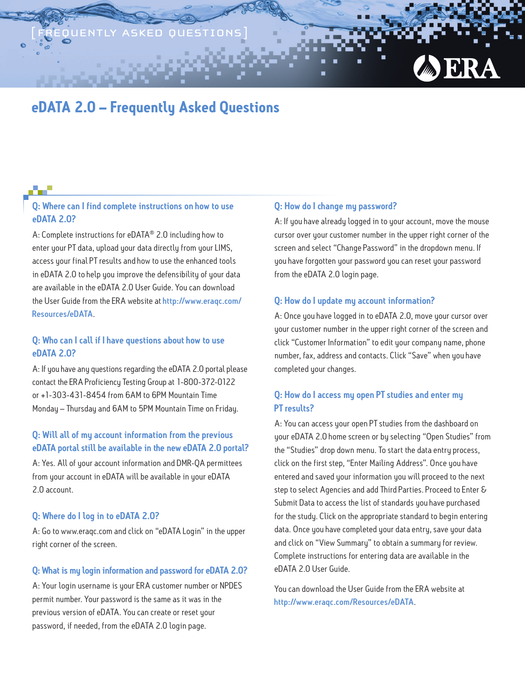# **eDATA 2.0 – Frequently Asked Questions**

# Q: Where can I find complete instructions on how to use eDATA 2.0?

A: Complete instructions for eDATA® 2.0 including how to enter your PT data, upload your data directly from your LIMS, access your final PT results and how to use the enhanced tools in eDATA 2.0 to help you improve the defensibility of your data are available in the eDATA 2.0 User Guide. You can download the User Guide from the ERA website at [http://www.eraqc.com/](http://www.eraqc.com/Resources/eDATA) [Resources/eDATA](http://www.eraqc.com/Resources/eDATA).

### Q: Who can I call if I have questions about how to use eDATA 2.0?

A: If you have any questions regarding the eDATA 2.0 portal please contact the ERA Proficiency Testing Group at 1-800-372-0122 or +1-303-431-8454 from 6AM to 6PM Mountain Time Monday – Thursday and 6AM to 5PM Mountain Time on Friday.

# Q: Will all of my account information from the previous eDATA portal still be available in the new eDATA 2.0 portal?

A: Yes. All of your account information and DMR-QA permittees from your account in eDATA will be available in your eDATA 2.0 account.

#### Q: Where do I log in to eDATA 2.0?

A: Go to www.eraqc.com and click on "eDATA Login" in the upper right corner of the screen.

#### Q: What is my login information and password for eDATA 2.0?

A: Your login username is your ERA customer number or NPDES permit number. Your password is the same as it was in the previous version of eDATA. You can create or reset your password, if needed, from the eDATA 2.0 login page.

#### Q: How do I change my password?

A: If you have already logged in to your account, move the mouse cursor over your customer number in the upper right corner of the screen and select "Change Password" in the dropdown menu. If you have forgotten your password you can reset your password from the eDATA 2.0 login page.

#### Q: How do I update my account information?

A: Once you have logged in to eDATA 2.0, move your cursor over your customer number in the upper right corner of the screen and click "Customer Information" to edit your company name, phone number, fax, address and contacts. Click "Save" when you have completed your changes.

# Q: How do I access my open PT studies and enter my PT results?

A: You can access your open PT studies from the dashboard on your eDATA 2.0 home screen or by selecting "Open Studies" from the "Studies" drop down menu. To start the data entry process, click on the first step, "Enter Mailing Address". Once you have entered and saved your information you will proceed to the next step to select Agencies and add Third Parties. Proceed to Enter & Submit Data to access the list of standards you have purchased for the study. Click on the appropriate standard to begin entering data. Once you have completed your data entry, save your data and click on "View Summary" to obtain a summary for review. Complete instructions for entering data are available in the eDATA 2.0 User Guide.

You can download the User Guide from the ERA website at <http://www.eraqc.com/Resources/eDATA>.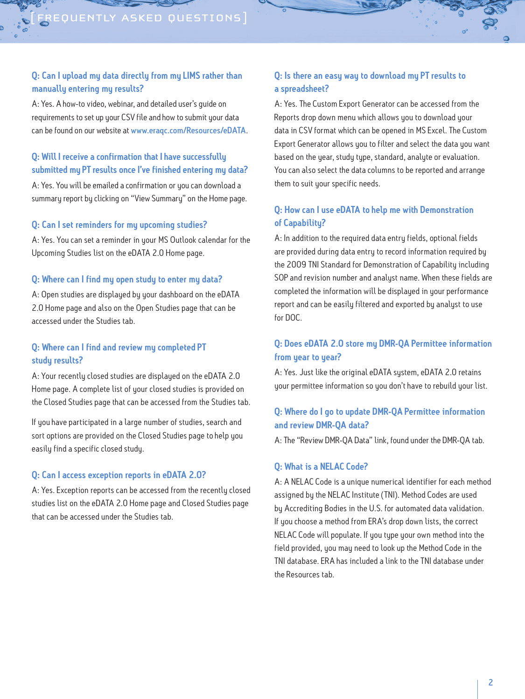# Q: Can I upload my data directly from my LIMS rather than manually entering my results?

A: Yes. A how-to video, webinar, and detailed user's guide on requirements to set up your CSV file and how to submit your data can be found on our website at [www.eraqc.com/Resources/eDATA](http://www.eraqc.com/Resources/eDATA).

# Q: Will I receive a confirmation that I have successfully submitted my PT results once I've finished entering my data?

A: Yes. You will be emailed a confirmation or you can download a summary report by clicking on "View Summary" on the Home page.

#### Q: Can I set reminders for my upcoming studies?

A: Yes. You can set a reminder in your MS Outlook calendar for the Upcoming Studies list on the eDATA 2.0 Home page.

#### Q: Where can I find my open study to enter my data?

A: Open studies are displayed by your dashboard on the eDATA 2.0 Home page and also on the Open Studies page that can be accessed under the Studies tab.

#### Q: Where can I find and review my completed PT study results?

A: Your recently closed studies are displayed on the eDATA 2.0 Home page. A complete list of your closed studies is provided on the Closed Studies page that can be accessed from the Studies tab.

If you have participated in a large number of studies, search and sort options are provided on the Closed Studies page to help you easily find a specific closed study.

#### Q: Can I access exception reports in eDATA 2.0?

A: Yes. Exception reports can be accessed from the recently closed studies list on the eDATA 2.0 Home page and Closed Studies page that can be accessed under the Studies tab.

# Q: Is there an easy way to download my PT results to a spreadsheet?

A: Yes. The Custom Export Generator can be accessed from the Reports drop down menu which allows you to download your data in CSV format which can be opened in MS Excel. The Custom Export Generator allows you to filter and select the data you want based on the year, study type, standard, analyte or evaluation. You can also select the data columns to be reported and arrange them to suit your specific needs.

# Q: How can I use eDATA to help me with Demonstration of Capability?

A: In addition to the required data entry fields, optional fields are provided during data entry to record information required by the 2009 TNI Standard for Demonstration of Capability including SOP and revision number and analyst name. When these fields are completed the information will be displayed in your performance report and can be easily filtered and exported by analyst to use for DOC.

### Q: Does eDATA 2.0 store my DMR-QA Permittee information from year to year?

A: Yes. Just like the original eDATA system, eDATA 2.0 retains your permittee information so you don't have to rebuild your list.

# Q: Where do I go to update DMR-QA Permittee information and review DMR-QA data?

A: The "Review DMR-QA Data" link, found under the DMR-QA tab.

#### Q: What is a NELAC Code?

A: A NELAC Code is a unique numerical identifier for each method assigned by the NELAC Institute (TNI). Method Codes are used by Accrediting Bodies in the U.S. for automated data validation. If you choose a method from ERA's drop down lists, the correct NELAC Code will populate. If you type your own method into the field provided, you may need to look up the Method Code in the TNI database. ERA has included a link to the TNI database under the Resources tab.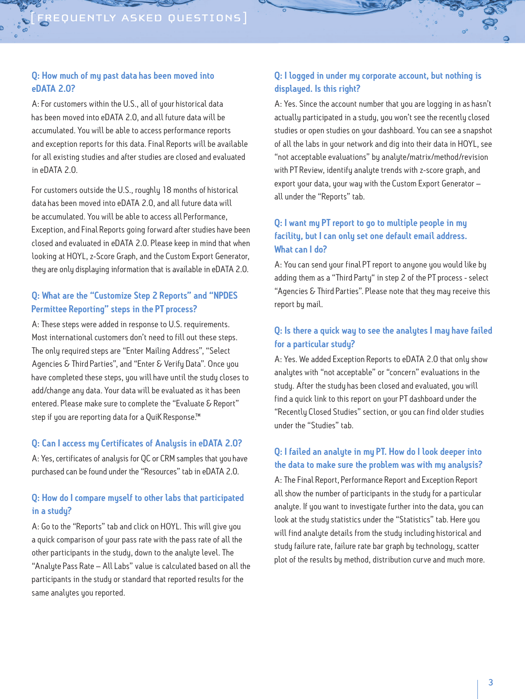# Q: How much of my past data has been moved into eDATA 2.0?

A: For customers within the U.S., all of your historical data has been moved into eDATA 2.0, and all future data will be accumulated. You will be able to access performance reports and exception reports for this data. Final Reports will be available for all existing studies and after studies are closed and evaluated in eDATA 2.0.

For customers outside the U.S., roughly 18 months of historical data has been moved into eDATA 2.0, and all future data will be accumulated. You will be able to access all Performance, Exception, and Final Reports going forward after studies have been closed and evaluated in eDATA 2.0. Please keep in mind that when looking at HOYL, z-Score Graph, and the Custom Export Generator, they are only displaying information that is available in eDATA 2.0.

# Q: What are the "Customize Step 2 Reports" and "NPDES Permittee Reporting" steps in the PT process?

A: These steps were added in response to U.S. requirements. Most international customers don't need to fill out these steps. The only required steps are "Enter Mailing Address", "Select Agencies & Third Parties", and "Enter & Verify Data". Once you have completed these steps, you will have until the study closes to add/change any data. Your data will be evaluated as it has been entered. Please make sure to complete the "Evaluate & Report" step if you are reporting data for a QuiK Response.<sup>™</sup>

#### Q: Can I access my Certificates of Analysis in eDATA 2.0?

A: Yes, certificates of analysis for QC or CRM samples that you have purchased can be found under the "Resources" tab in eDATA 2.0.

# Q: How do I compare myself to other labs that participated in a studu?

A: Go to the "Reports" tab and click on HOYL. This will give you a quick comparison of your pass rate with the pass rate of all the other participants in the study, down to the analyte level. The "Analyte Pass Rate – All Labs" value is calculated based on all the participants in the study or standard that reported results for the same analytes you reported.

# Q: I logged in under my corporate account, but nothing is displayed. Is this right?

A: Yes. Since the account number that you are logging in as hasn't actually participated in a study, you won't see the recently closed studies or open studies on your dashboard. You can see a snapshot of all the labs in your network and dig into their data in HOYL, see "not acceptable evaluations" by analyte/matrix/method/revision with PT Review, identify analyte trends with z-score graph, and export your data, your way with the Custom Export Generator – all under the "Reports" tab.

# Q: I want my PT report to go to multiple people in my facility, but I can only set one default email address. What can I do?

A: You can send your final PT report to anyone you would like by adding them as a "Third Party" in step 2 of the PT process - select "Agencies & Third Parties". Please note that they may receive this report by mail.

# Q: Is there a quick way to see the analytes I may have failed for a particular study?

A: Yes. We added Exception Reports to eDATA 2.0 that only show analytes with "not acceptable" or "concern" evaluations in the study. After the study has been closed and evaluated, you will find a quick link to this report on your PT dashboard under the "Recently Closed Studies" section, or you can find older studies under the "Studies" tab.

#### Q: I failed an analyte in my PT. How do I look deeper into the data to make sure the problem was with my analysis?

A: The Final Report, Performance Report and Exception Report all show the number of participants in the study for a particular analyte. If you want to investigate further into the data, you can look at the study statistics under the "Statistics" tab. Here you will find analyte details from the study including historical and study failure rate, failure rate bar graph by technology, scatter plot of the results by method, distribution curve and much more.